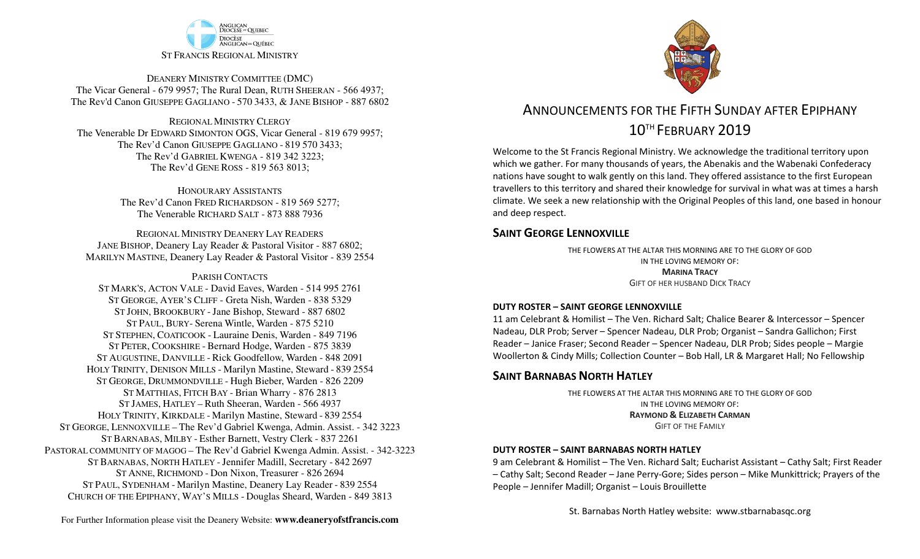

DEANERY MINISTRY COMMITTEE (DMC) The Vicar General - 679 9957; The Rural Dean, RUTH SHEERAN - 566 4937; The Rev'd Canon GIUSEPPE GAGLIANO - <sup>570</sup> 3433, & JANE BISHOP - 887 6802

REGIONAL MINISTRY CLERGY The Venerable Dr EDWARD SIMONTON OGS, Vicar General - 819 679 9957;The Rev'd Canon GIUSEPPE GAGLIANO - <sup>819</sup> <sup>570</sup> 3433; The Rev'd GABRIEL KWENGA - 819 342 3223;The Rev'd GENE ROSS - 819 563 8013;

> HONOURARY ASSISTANTS The Rev'd Canon FRED RICHARDSON - 819 569 5277;The Venerable RICHARD SALT - 873 888 7936

REGIONAL MINISTRY DEANERY LAY READERS JANE BISHOP, Deanery Lay Reader & Pastoral Visitor - 887 6802;MARILYN MASTINE, Deanery Lay Reader & Pastoral Visitor - 839 2554

#### PARISH CONTACTS

 ST MARK'S, ACTON VALE - David Eaves, Warden - 514 995 2761 ST GEORGE, AYER'S CLIFF - Greta Nish, Warden - 838 5329 ST JOHN, BROOKBURY -Jane Bishop, Steward - 887 6802 ST PAUL, BURY- Serena Wintle, Warden - 875 5210 ST STEPHEN, COATICOOK - Lauraine Denis, Warden - 849 7196 ST PETER, COOKSHIRE - Bernard Hodge, Warden - 875 3839 ST AUGUSTINE, DANVILLE - Rick Goodfellow, Warden - 848 2091 HOLY TRINITY, DENISON MILLS - Marilyn Mastine, Steward - <sup>839</sup> <sup>2554</sup> ST GEORGE, DRUMMONDVILLE - Hugh Bieber, Warden - 826 2209 ST MATTHIAS, FITCH BAY - Brian Wharry - 876 2813 ST JAMES, HATLEY – Ruth Sheeran, Warden - 566 4937 HOLY TRINITY, KIRKDALE - Marilyn Mastine, Steward - <sup>839</sup> <sup>2554</sup> ST GEORGE, LENNOXVILLE – The Rev'd Gabriel Kwenga, Admin. Assist. - 342 3223 ST BARNABAS, MILBY - Esther Barnett, Vestry Clerk - 837 2261 PASTORAL COMMUNITY OF MAGOG – The Rev'd Gabriel Kwenga Admin. Assist. - 342-3223 ST BARNABAS, NORTH HATLEY -Jennifer Madill, Secretary - <sup>842</sup> <sup>2697</sup> ST ANNE, RICHMOND - Don Nixon, Treasurer - 826 <sup>2694</sup> ST PAUL, SYDENHAM - Marilyn Mastine, Deanery Lay Reader - <sup>839</sup> <sup>2554</sup> CHURCH OF THE EPIPHANY, WAY'S MILLS - Douglas Sheard, Warden - 849 3813



# ANNOUNCEMENTS FOR THE FIFTH SUNDAY AFTER EPIPHANY10TH FEBRUARY 2019

Welcome to the St Francis Regional Ministry. We acknowledge the traditional territory upon which we gather. For many thousands of years, the Abenakis and the Wabenaki Confederacy nations have sought to walk gently on this land. They offered assistance to the first European travellers to this territory and shared their knowledge for survival in what was at times a harsh climate. We seek a new relationship with the Original Peoples of this land, one based in honour and deep respect.

### **SAINT GEORGE LENNOXVILLE**

THE FLOWERS AT THE ALTAR THIS MORNING ARE TO THE GLORY OF GODIN THE LOVING MEMORY OF:**MARINA TRACY**GIFT OF HER HUSBAND DICK TRACY

### **DUTY ROSTER – SAINT GEORGE LENNOXVILLE**

11 am Celebrant & Homilist – The Ven. Richard Salt; Chalice Bearer & Intercessor – Spencer Nadeau, DLR Prob; Server – Spencer Nadeau, DLR Prob; Organist – Sandra Gallichon; First Reader – Janice Fraser; Second Reader – Spencer Nadeau, DLR Prob; Sides people – Margie Woollerton & Cindy Mills; Collection Counter – Bob Hall, LR & Margaret Hall; No Fellowship

### **SAINT BARNABAS NORTH HATLEY**

THE FLOWERS AT THE ALTAR THIS MORNING ARE TO THE GLORY OF GODIN THE LOVING MEMORY OF:**RAYMOND & <sup>E</sup>LIZABETH CARMAN** GIFT OF THE FAMILY

### **DUTY ROSTER – SAINT BARNABAS NORTH HATLEY**

9 am Celebrant & Homilist – The Ven. Richard Salt; Eucharist Assistant – Cathy Salt; First Reader – Cathy Salt; Second Reader – Jane Perry-Gore; Sides person – Mike Munkittrick; Prayers of the People – Jennifer Madill; Organist – Louis Brouillette

St. Barnabas North Hatley website: www.stbarnabasqc.org